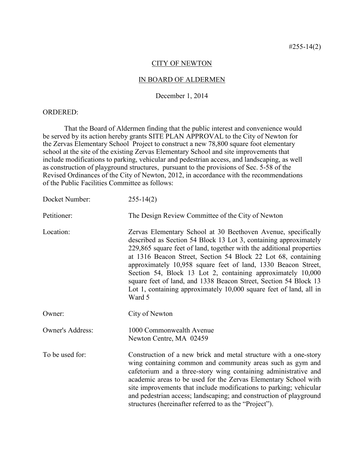## CITY OF NEWTON

## IN BOARD OF ALDERMEN

## December 1, 2014

## ORDERED:

That the Board of Aldermen finding that the public interest and convenience would be served by its action hereby grants SITE PLAN APPROVAL to the City of Newton for the Zervas Elementary School Project to construct a new 78,800 square foot elementary school at the site of the existing Zervas Elementary School and site improvements that include modifications to parking, vehicular and pedestrian access, and landscaping, as well as construction of playground structures, pursuant to the provisions of Sec. 5-58 of the Revised Ordinances of the City of Newton, 2012, in accordance with the recommendations of the Public Facilities Committee as follows:

| Docket Number:          | $255 - 14(2)$                                                                                                                                                                                                                                                                                                                                                                                                                                                                                                                                                  |
|-------------------------|----------------------------------------------------------------------------------------------------------------------------------------------------------------------------------------------------------------------------------------------------------------------------------------------------------------------------------------------------------------------------------------------------------------------------------------------------------------------------------------------------------------------------------------------------------------|
| Petitioner:             | The Design Review Committee of the City of Newton                                                                                                                                                                                                                                                                                                                                                                                                                                                                                                              |
| Location:               | Zervas Elementary School at 30 Beethoven Avenue, specifically<br>described as Section 54 Block 13 Lot 3, containing approximately<br>229,865 square feet of land, together with the additional properties<br>at 1316 Beacon Street, Section 54 Block 22 Lot 68, containing<br>approximately 10,958 square feet of land, 1330 Beacon Street,<br>Section 54, Block 13 Lot 2, containing approximately 10,000<br>square feet of land, and 1338 Beacon Street, Section 54 Block 13<br>Lot 1, containing approximately 10,000 square feet of land, all in<br>Ward 5 |
| Owner:                  | City of Newton                                                                                                                                                                                                                                                                                                                                                                                                                                                                                                                                                 |
| <b>Owner's Address:</b> | 1000 Commonwealth Avenue<br>Newton Centre, MA 02459                                                                                                                                                                                                                                                                                                                                                                                                                                                                                                            |
| To be used for:         | Construction of a new brick and metal structure with a one-story<br>wing containing common and community areas such as gym and<br>cafetorium and a three-story wing containing administrative and<br>academic areas to be used for the Zervas Elementary School with<br>site improvements that include modifications to parking; vehicular<br>and pedestrian access; landscaping; and construction of playground<br>structures (hereinafter referred to as the "Project").                                                                                     |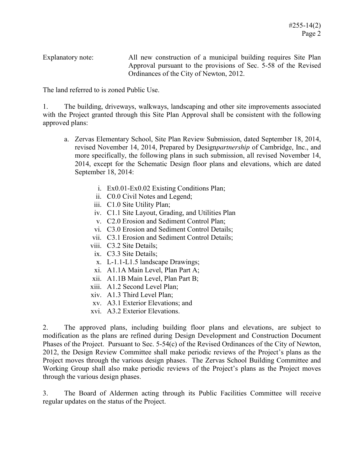Explanatory note: All new construction of a municipal building requires Site Plan Approval pursuant to the provisions of Sec. 5-58 of the Revised Ordinances of the City of Newton, 2012.

The land referred to is zoned Public Use.

1. The building, driveways, walkways, landscaping and other site improvements associated with the Project granted through this Site Plan Approval shall be consistent with the following approved plans:

- a. Zervas Elementary School, Site Plan Review Submission, dated September 18, 2014, revised November 14, 2014, Prepared by Design*partnership* of Cambridge, Inc., and more specifically, the following plans in such submission, all revised November 14, 2014, except for the Schematic Design floor plans and elevations, which are dated September 18, 2014:
	- i. Ex0.01-Ex0.02 Existing Conditions Plan;
	- ii. C0.0 Civil Notes and Legend;
	- iii. C1.0 Site Utility Plan;
	- iv. C1.1 Site Layout, Grading, and Utilities Plan
	- v. C2.0 Erosion and Sediment Control Plan;
	- vi. C3.0 Erosion and Sediment Control Details;
	- vii. C3.1 Erosion and Sediment Control Details;
	- viii. C3.2 Site Details;
	- ix. C3.3 Site Details;
	- x. L-1.1-L1.5 landscape Drawings;
	- xi. A1.1A Main Level, Plan Part A;
	- xii. A1.1B Main Level, Plan Part B;
	- xiii. A1.2 Second Level Plan;
	- xiv. A1.3 Third Level Plan;
	- xv. A3.1 Exterior Elevations; and
	- xvi. A3.2 Exterior Elevations.

2. The approved plans, including building floor plans and elevations, are subject to modification as the plans are refined during Design Development and Construction Document Phases of the Project. Pursuant to Sec. 5-54(c) of the Revised Ordinances of the City of Newton, 2012, the Design Review Committee shall make periodic reviews of the Project's plans as the Project moves through the various design phases. The Zervas School Building Committee and Working Group shall also make periodic reviews of the Project's plans as the Project moves through the various design phases.

3. The Board of Aldermen acting through its Public Facilities Committee will receive regular updates on the status of the Project.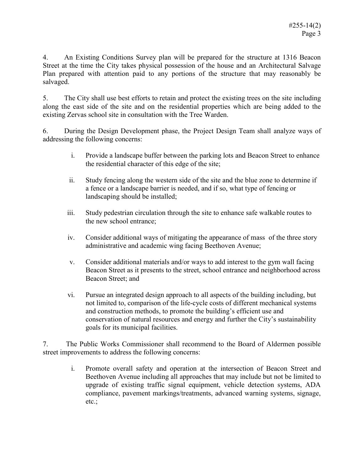4. An Existing Conditions Survey plan will be prepared for the structure at 1316 Beacon Street at the time the City takes physical possession of the house and an Architectural Salvage Plan prepared with attention paid to any portions of the structure that may reasonably be salvaged.

5. The City shall use best efforts to retain and protect the existing trees on the site including along the east side of the site and on the residential properties which are being added to the existing Zervas school site in consultation with the Tree Warden.

6. During the Design Development phase, the Project Design Team shall analyze ways of addressing the following concerns:

- i. Provide a landscape buffer between the parking lots and Beacon Street to enhance the residential character of this edge of the site;
- ii. Study fencing along the western side of the site and the blue zone to determine if a fence or a landscape barrier is needed, and if so, what type of fencing or landscaping should be installed;
- iii. Study pedestrian circulation through the site to enhance safe walkable routes to the new school entrance;
- iv. Consider additional ways of mitigating the appearance of mass of the three story administrative and academic wing facing Beethoven Avenue;
- v. Consider additional materials and/or ways to add interest to the gym wall facing Beacon Street as it presents to the street, school entrance and neighborhood across Beacon Street; and
- vi. Pursue an integrated design approach to all aspects of the building including, but not limited to, comparison of the life-cycle costs of different mechanical systems and construction methods, to promote the building's efficient use and conservation of natural resources and energy and further the City's sustainability goals for its municipal facilities.

7. The Public Works Commissioner shall recommend to the Board of Aldermen possible street improvements to address the following concerns:

i. Promote overall safety and operation at the intersection of Beacon Street and Beethoven Avenue including all approaches that may include but not be limited to upgrade of existing traffic signal equipment, vehicle detection systems, ADA compliance, pavement markings/treatments, advanced warning systems, signage, etc.;